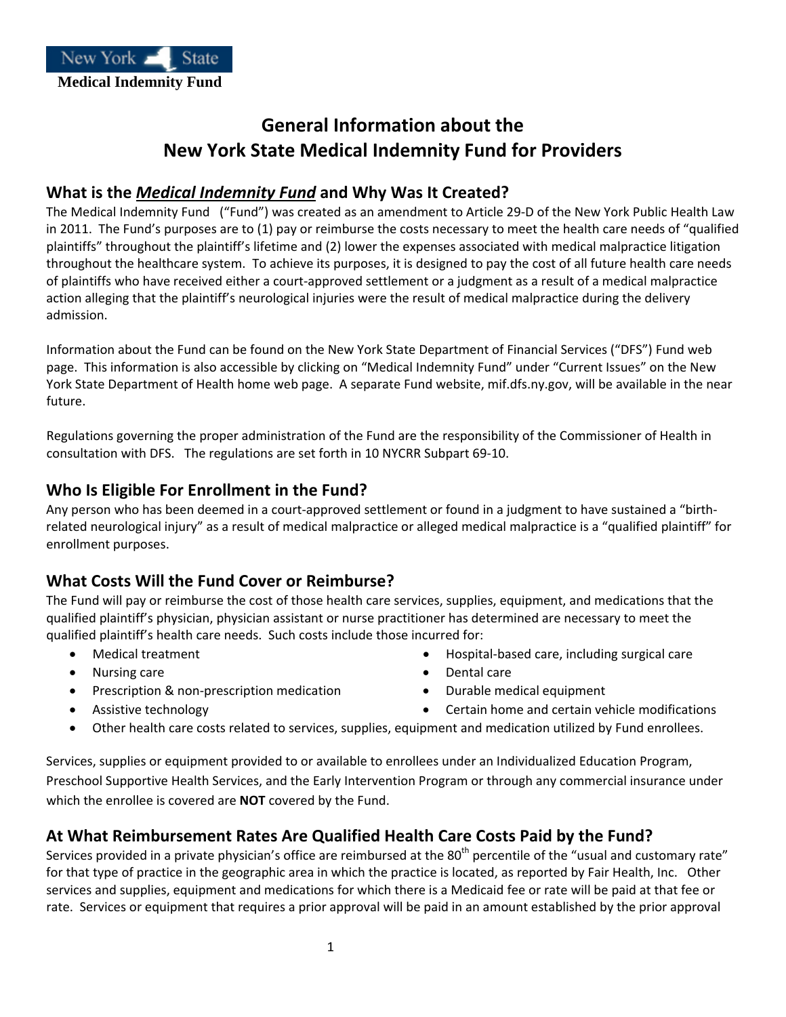

# **General Information about the New York State Medical Indemnity Fund for Providers**

## **What is the** *Medical Indemnity Fund* **and Why Was It Created?**

The Medical Indemnity Fund ("Fund") was created as an amendment to Article 29‐D of the New York Public Health Law in 2011. The Fund's purposes are to (1) pay or reimburse the costs necessary to meet the health care needs of "qualified plaintiffs" throughout the plaintiff's lifetime and (2) lower the expenses associated with medical malpractice litigation throughout the healthcare system. To achieve its purposes, it is designed to pay the cost of all future health care needs of plaintiffs who have received either a court‐approved settlement or a judgment as a result of a medical malpractice action alleging that the plaintiff's neurological injuries were the result of medical malpractice during the delivery admission.

Information about the Fund can be found on the New York State Department of Financial Services ("DFS") Fund web page. This information is also accessible by clicking on "Medical Indemnity Fund" under "Current Issues" on the New York State Department of Health home web page. A separate Fund website, mif.dfs.ny.gov, will be available in the near future.

Regulations governing the proper administration of the Fund are the responsibility of the Commissioner of Health in consultation with DFS. The regulations are set forth in 10 NYCRR Subpart 69‐10.

# **Who Is Eligible For Enrollment in the Fund?**

Any person who has been deemed in a court‐approved settlement or found in a judgment to have sustained a "birth‐ related neurological injury" as a result of medical malpractice or alleged medical malpractice is a "qualified plaintiff" for enrollment purposes.

# **What Costs Will the Fund Cover or Reimburse?**

The Fund will pay or reimburse the cost of those health care services, supplies, equipment, and medications that the qualified plaintiff's physician, physician assistant or nurse practitioner has determined are necessary to meet the qualified plaintiff's health care needs. Such costs include those incurred for:

- 
- Nursing care **•** Dental care **•** Dental care
- Prescription & non-prescription medication Durable medical equipment
- 
- Medical treatment  **Hospital-based care, including surgical care** 
	-
	-
- Assistive technology  **Certain home and certain vehicle modifications**
- Other health care costs related to services, supplies, equipment and medication utilized by Fund enrollees.

Services, supplies or equipment provided to or available to enrollees under an Individualized Education Program, Preschool Supportive Health Services, and the Early Intervention Program or through any commercial insurance under which the enrollee is covered are **NOT** covered by the Fund.

### **At What Reimbursement Rates Are Qualified Health Care Costs Paid by the Fund?**

Services provided in a private physician's office are reimbursed at the 80<sup>th</sup> percentile of the "usual and customary rate" for that type of practice in the geographic area in which the practice is located, as reported by Fair Health, Inc. Other services and supplies, equipment and medications for which there is a Medicaid fee or rate will be paid at that fee or rate. Services or equipment that requires a prior approval will be paid in an amount established by the prior approval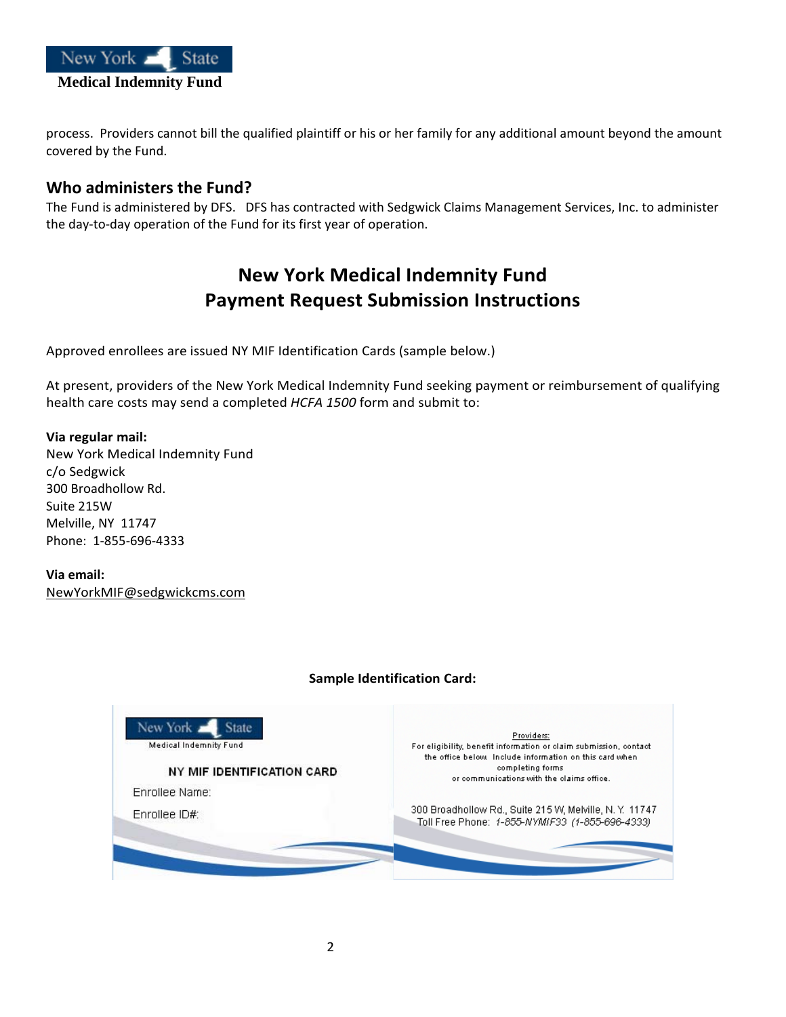

process. Providers cannot bill the qualified plaintiff or his or her family for any additional amount beyond the amount covered by the Fund.

### **Who administers the Fund?**

The Fund is administered by DFS. DFS has contracted with Sedgwick Claims Management Services, Inc. to administer the day‐to‐day operation of the Fund for its first year of operation.

# **New York Medical Indemnity Fund Payment Request Submission Instructions**

Approved enrollees are issued NY MIF Identification Cards (sample below.)

At present, providers of the New York Medical Indemnity Fund seeking payment or reimbursement of qualifying health care costs may send a completed *HCFA 1500* form and submit to:

#### **Via regular mail:**

New York Medical Indemnity Fund c/o Sedgwick 300 Broadhollow Rd. Suite 215W Melville, NY 11747 Phone: 1‐855‐696‐4333

**Via email:** [NewYorkMIF@sedgwickcms.com](mailto:NewYorkMIF@sedgwickcms.com)

#### **Sample Identification Card:**